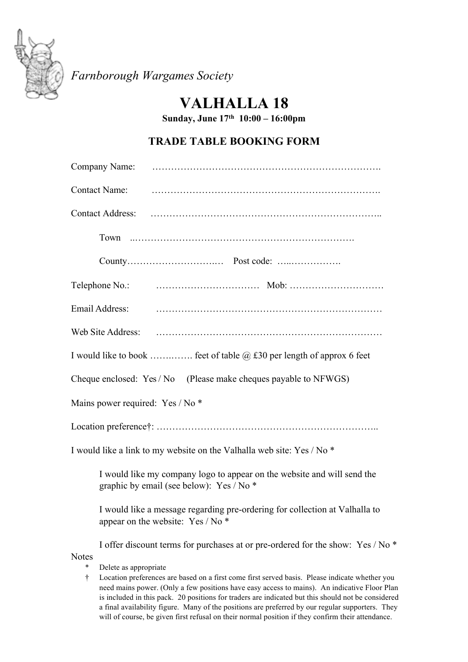

*Farnborough Wargames Society*

## **VALHALLA 18**

**Sunday, June 17th 10:00 – 16:00pm**

## **TRADE TABLE BOOKING FORM**

| Company Name:                                                                                                       |  |
|---------------------------------------------------------------------------------------------------------------------|--|
| <b>Contact Name:</b>                                                                                                |  |
| <b>Contact Address:</b>                                                                                             |  |
|                                                                                                                     |  |
|                                                                                                                     |  |
| Telephone No.:                                                                                                      |  |
| Email Address:                                                                                                      |  |
| Web Site Address:                                                                                                   |  |
| I would like to book  feet of table $\omega$ £30 per length of approx 6 feet                                        |  |
| Cheque enclosed: Yes / No (Please make cheques payable to NFWGS)                                                    |  |
| Mains power required: Yes / No *                                                                                    |  |
|                                                                                                                     |  |
| I would like a link to my website on the Valhalla web site: Yes / No *                                              |  |
| I would like my company logo to appear on the website and will send the<br>graphic by email (see below): Yes / No * |  |
| I would like a message regarding pre-ordering for collection at Valhalla to<br>appear on the website: Yes / No *    |  |

I offer discount terms for purchases at or pre-ordered for the show: Yes / No \* Notes

- \* Delete as appropriate
- † Location preferences are based on a first come first served basis. Please indicate whether you need mains power. (Only a few positions have easy access to mains). An indicative Floor Plan is included in this pack. 20 positions for traders are indicated but this should not be considered a final availability figure. Many of the positions are preferred by our regular supporters. They will of course, be given first refusal on their normal position if they confirm their attendance.